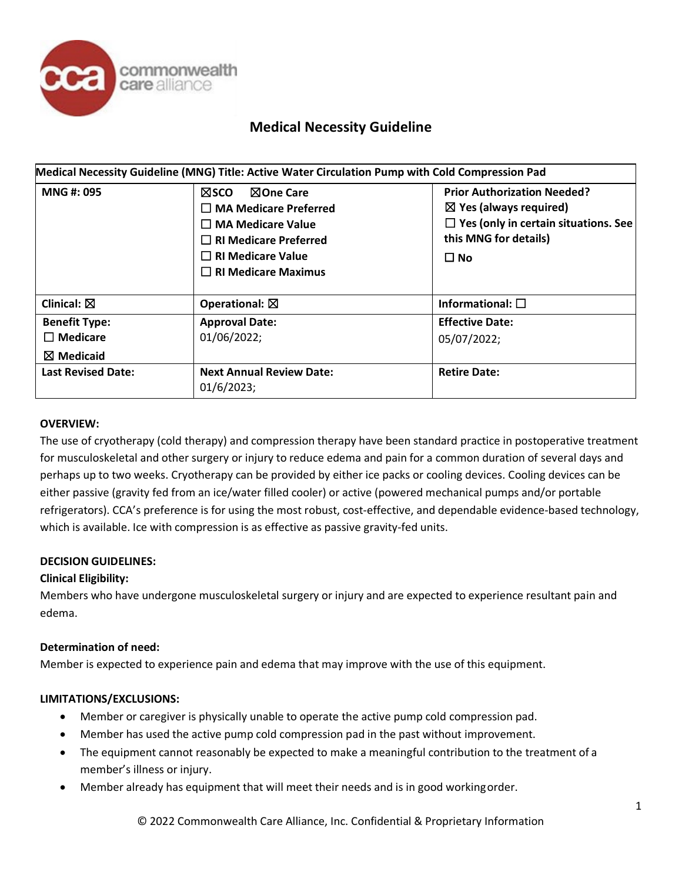

# **Medical Necessity Guideline**

| Medical Necessity Guideline (MNG) Title: Active Water Circulation Pump with Cold Compression Pad |                                                                                                                                                                               |                                                                                                                                                                 |  |
|--------------------------------------------------------------------------------------------------|-------------------------------------------------------------------------------------------------------------------------------------------------------------------------------|-----------------------------------------------------------------------------------------------------------------------------------------------------------------|--|
| <b>MNG#: 095</b>                                                                                 | ⊠sco<br>⊠One Care<br>$\square$ MA Medicare Preferred<br>$\square$ MA Medicare Value<br>$\Box$ RI Medicare Preferred<br>$\Box$ RI Medicare Value<br>$\Box$ RI Medicare Maximus | <b>Prior Authorization Needed?</b><br>$\boxtimes$ Yes (always required)<br>$\Box$ Yes (only in certain situations. See<br>this MNG for details)<br>$\square$ No |  |
| Clinical: $\boxtimes$                                                                            | Operational: $\boxtimes$                                                                                                                                                      | Informational: $\square$                                                                                                                                        |  |
| <b>Benefit Type:</b><br>$\Box$ Medicare<br>$\boxtimes$ Medicaid                                  | <b>Approval Date:</b><br>01/06/2022;                                                                                                                                          | <b>Effective Date:</b><br>05/07/2022;                                                                                                                           |  |
| <b>Last Revised Date:</b>                                                                        | <b>Next Annual Review Date:</b><br>01/6/2023;                                                                                                                                 | <b>Retire Date:</b>                                                                                                                                             |  |

### **OVERVIEW:**

The use of cryotherapy (cold therapy) and compression therapy have been standard practice in postoperative treatment for musculoskeletal and other surgery or injury to reduce edema and pain for a common duration of several days and perhaps up to two weeks. Cryotherapy can be provided by either ice packs or cooling devices. Cooling devices can be either passive (gravity fed from an ice/water filled cooler) or active (powered mechanical pumps and/or portable refrigerators). CCA's preference is for using the most robust, cost-effective, and dependable evidence-based technology, which is available. Ice with compression is as effective as passive gravity-fed units.

### **DECISION GUIDELINES:**

#### **Clinical Eligibility:**

Members who have undergone musculoskeletal surgery or injury and are expected to experience resultant pain and edema.

#### **Determination of need:**

Member is expected to experience pain and edema that may improve with the use of this equipment.

### **LIMITATIONS/EXCLUSIONS:**

- Member or caregiver is physically unable to operate the active pump cold compression pad.
- Member has used the active pump cold compression pad in the past without improvement.
- The equipment cannot reasonably be expected to make a meaningful contribution to the treatment of a member's illness or injury.
- Member already has equipment that will meet their needs and is in good workingorder.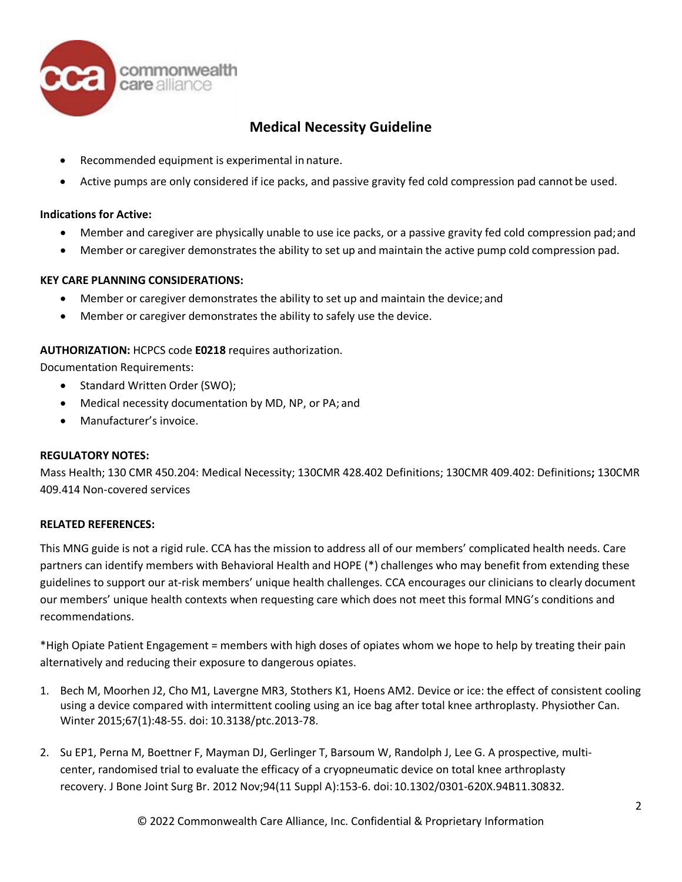

# **Medical Necessity Guideline**

- Recommended equipment is experimental in nature.
- Active pumps are only considered if ice packs, and passive gravity fed cold compression pad cannot be used.

## **Indications for Active:**

- Member and caregiver are physically unable to use ice packs, or a passive gravity fed cold compression pad;and
- Member or caregiver demonstrates the ability to set up and maintain the active pump cold compression pad.

### **KEY CARE PLANNING CONSIDERATIONS:**

- Member or caregiver demonstrates the ability to set up and maintain the device; and
- Member or caregiver demonstrates the ability to safely use the device.

## **AUTHORIZATION:** HCPCS code **E0218** requires authorization.

Documentation Requirements:

- Standard Written Order (SWO);
- Medical necessity documentation by MD, NP, or PA; and
- Manufacturer's invoice.

### **REGULATORY NOTES:**

Mass Health; 130 CMR 450.204: Medical Necessity; 130CMR 428.402 Definitions; 130CMR 409.402: Definitions**;** 130CMR 409.414 Non-covered services

### **RELATED REFERENCES:**

This MNG guide is not a rigid rule. CCA has the mission to address all of our members' complicated health needs. Care partners can identify members with Behavioral Health and HOPE (\*) challenges who may benefit from extending these guidelines to support our at-risk members' unique health challenges. CCA encourages our clinicians to clearly document our members' unique health contexts when requesting care which does not meet this formal MNG's conditions and recommendations.

\*High Opiate Patient Engagement = members with high doses of opiates whom we hope to help by treating their pain alternatively and reducing their exposure to dangerous opiates.

- 1. Bech M, Moorhen J2, Cho M1, Lavergne MR3, Stothers K1, Hoens AM2. Device or ice: the effect of consistent cooling using a device compared with intermittent cooling using an ice bag after total knee arthroplasty. Physiother Can. Winter 2015;67(1):48-55. doi: 10.3138/ptc.2013-78.
- 2. Su EP1, Perna M, Boettner F, Mayman DJ, Gerlinger T, Barsoum W, Randolph J, Lee G. A prospective, multicenter, randomised trial to evaluate the efficacy of a cryopneumatic device on total knee arthroplasty recovery. J Bone Joint Surg Br. 2012 Nov;94(11 Suppl A):153-6. doi:10.1302/0301-620X.94B11.30832.